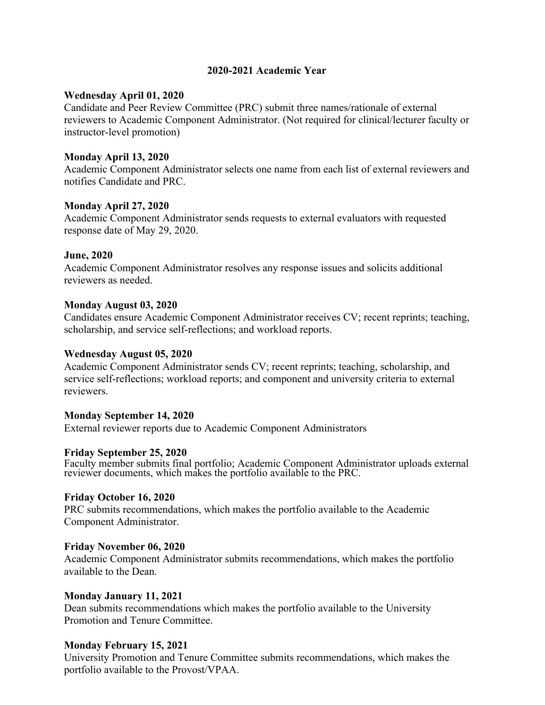## **2020-2021 Academic Year**

#### **Wednesday April 01, 2020**

Candidate and Peer Review Committee (PRC) submit three names/rationale of external reviewers to Academic Component Administrator. (Not required for clinical/lecturer faculty or instructor-level promotion)

## **Monday April 13, 2020**

Academic Component Administrator selects one name from each list of external reviewers and notifies Candidate and PRC.

#### **Monday April 27, 2020**

Academic Component Administrator sends requests to external evaluators with requested response date of May 29, 2020.

## **June, 2020**

Academic Component Administrator resolves any response issues and solicits additional reviewers as needed.

## **Monday August 03, 2020**

Candidates ensure Academic Component Administrator receives CV; recent reprints; teaching, scholarship, and service self-reflections; and workload reports.

#### **Wednesday August 05, 2020**

Academic Component Administrator sends CV; recent reprints; teaching, scholarship, and service self-reflections; workload reports; and component and university criteria to external reviewers.

#### **Monday September 14, 2020**

External reviewer reports due to Academic Component Administrators

#### **Friday September 25, 2020**

Faculty member submits final portfolio; Academic Component Administrator uploads external reviewer documents, which makes the portfolio available to the PRC.

#### **Friday October 16, 2020**

PRC submits recommendations, which makes the portfolio available to the Academic Component Administrator.

#### **Friday November 06, 2020**

Academic Component Administrator submits recommendations, which makes the portfolio available to the Dean.

#### **Monday January 11, 2021**

Dean submits recommendations which makes the portfolio available to the University Promotion and Tenure Committee.

#### **Monday February 15, 2021**

University Promotion and Tenure Committee submits recommendations, which makes the portfolio available to the Provost/VPAA.